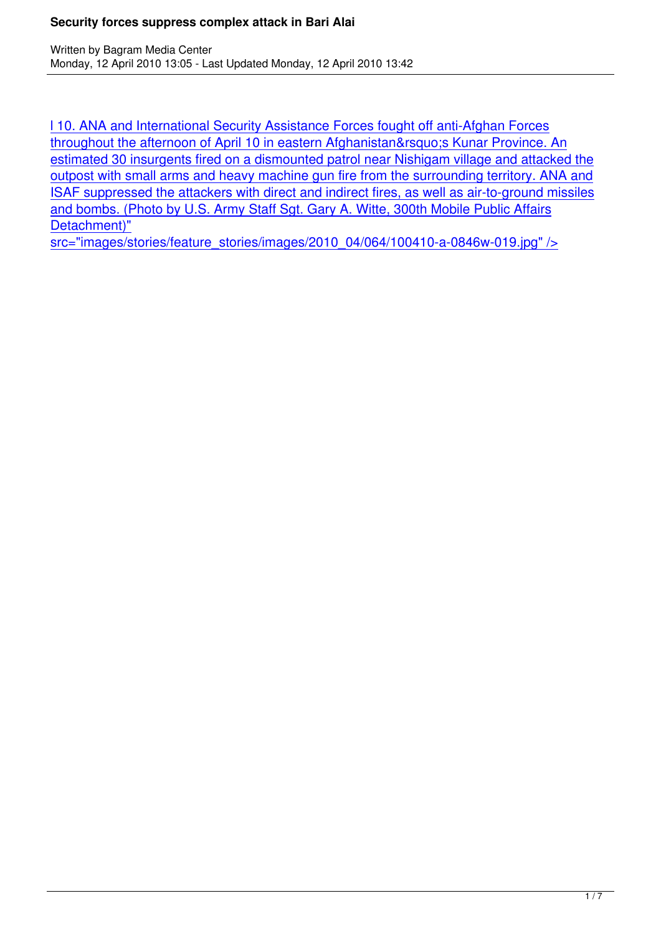l 10. ANA and International Security Assistance Forces fought off anti-Afghan Forces throughout the afternoon of April 10 in eastern Afghanistan' Kunar Province. An estimated 30 insurgents fired on a dismounted patrol near Nishigam village and attacked the [outpost with small arms and heavy machine gun fire from the surrounding territory. AN](http://www.cjtf82.com/images/stories/feature_stories/images/2010_04/064/100410-a-0846w-019.jpg)A and [ISAF suppressed the attackers with direct and indirect fires, as well as air-to-ground mis](http://www.cjtf82.com/images/stories/feature_stories/images/2010_04/064/100410-a-0846w-019.jpg)siles [and bombs. \(Photo by U.S. Army Staff Sgt. Gary A. Witte, 300th Mobile Public Affairs](http://www.cjtf82.com/images/stories/feature_stories/images/2010_04/064/100410-a-0846w-019.jpg) [Detachment\)"](http://www.cjtf82.com/images/stories/feature_stories/images/2010_04/064/100410-a-0846w-019.jpg)

[src="images/stories/feature\\_stories/images/2010\\_04/064/100410-a-0846w-019.jpg" />](http://www.cjtf82.com/images/stories/feature_stories/images/2010_04/064/100410-a-0846w-019.jpg)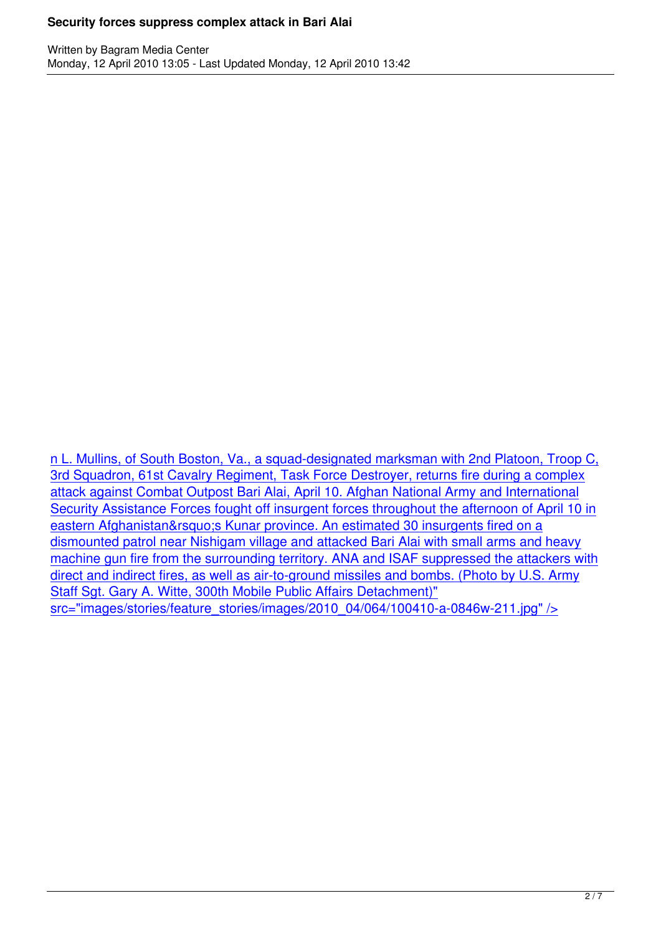n L. Mullins, of South Boston, Va., a squad-designated marksman with 2nd Platoon, Troop C, 3rd Squadron, 61st Cavalry Regiment, Task Force Destroyer, returns fire during a complex attack against Combat Outpost Bari Alai, April 10. Afghan National Army and International [Security Assistance Forces fought off insurgent forces throughout the afternoon of April 10 in](http://www.cjtf82.com/images/stories/feature_stories/images/2010_04/064/100410-a-0846w-211.jpg) eastern Afghanistan' Kunar province. An estimated 30 insurgents fired on a [dismounted patrol near Nishigam village and attacked Bari Alai with small arms and heavy](http://www.cjtf82.com/images/stories/feature_stories/images/2010_04/064/100410-a-0846w-211.jpg) [machine gun fire from the surrounding territory. ANA and ISAF suppressed the attackers with](http://www.cjtf82.com/images/stories/feature_stories/images/2010_04/064/100410-a-0846w-211.jpg) [direct and indirect fires, as well as air-to-ground missiles and bombs. \(Photo by U.S.](http://www.cjtf82.com/images/stories/feature_stories/images/2010_04/064/100410-a-0846w-211.jpg) Army [Staff Sgt. Gary A. Witte, 300th Mobile Public Affairs Detachment\)"](http://www.cjtf82.com/images/stories/feature_stories/images/2010_04/064/100410-a-0846w-211.jpg) [src="images/stories/feature\\_stories/images/2010\\_04/064/100410-a-0846w-211.jpg" />](http://www.cjtf82.com/images/stories/feature_stories/images/2010_04/064/100410-a-0846w-211.jpg)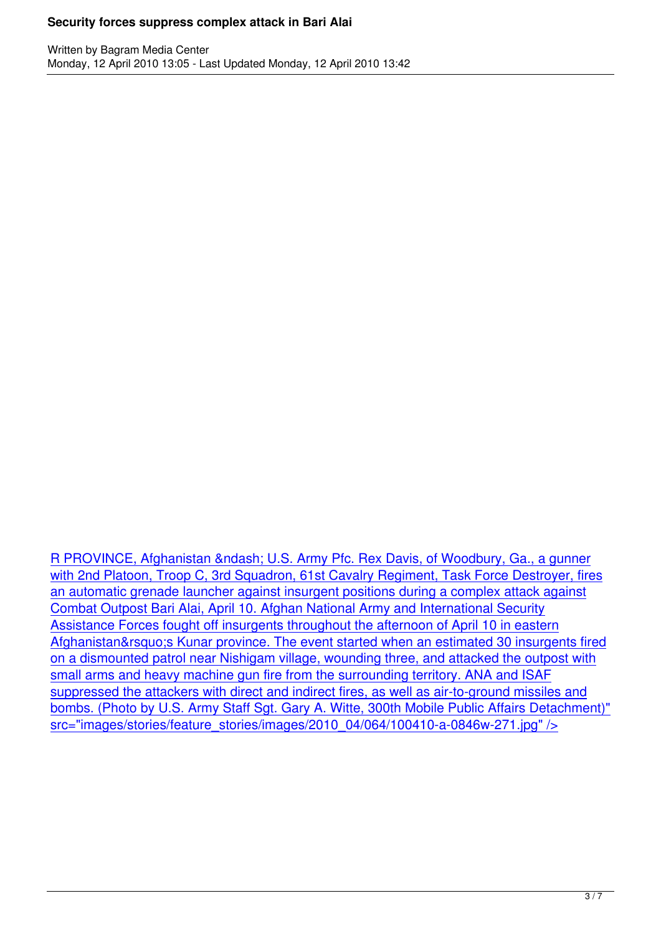R PROVINCE, Afghanistan – U.S. Army Pfc. Rex Davis, of Woodbury, Ga., a gunner with 2nd Platoon, Troop C, 3rd Squadron, 61st Cavalry Regiment, Task Force Destroyer, fires an automatic grenade launcher against insurgent positions during a complex attack against [Combat Outpost Bari Alai, April 10. Afghan National Army and International Security](http://www.cjtf82.com/images/stories/feature_stories/images/2010_04/064/100410-a-0846w-271.jpg) [Assistance Forces fought off insurgents throughout the afternoon of April 10 in eastern](http://www.cjtf82.com/images/stories/feature_stories/images/2010_04/064/100410-a-0846w-271.jpg) Afghanistan' Kunar province. The event started when an estimated 30 insurgents fired [on a dismounted patrol near Nishigam village, wounding three, and attacked the outp](http://www.cjtf82.com/images/stories/feature_stories/images/2010_04/064/100410-a-0846w-271.jpg)ost with [small arms and heavy machine gun fire from the surrounding territory. ANA and ISAF](http://www.cjtf82.com/images/stories/feature_stories/images/2010_04/064/100410-a-0846w-271.jpg) [suppressed the attackers with direct and indirect fires, as well as air-to-ground missiles and](http://www.cjtf82.com/images/stories/feature_stories/images/2010_04/064/100410-a-0846w-271.jpg) [bombs. \(Photo by U.S. Army Staff Sgt. Gary A. Witte, 300th Mobile Public Affairs Detachmen](http://www.cjtf82.com/images/stories/feature_stories/images/2010_04/064/100410-a-0846w-271.jpg)t)" [src="images/stories/feature\\_stories/images/2010\\_04/064/100410-a-0846w-271.jpg" />](http://www.cjtf82.com/images/stories/feature_stories/images/2010_04/064/100410-a-0846w-271.jpg)